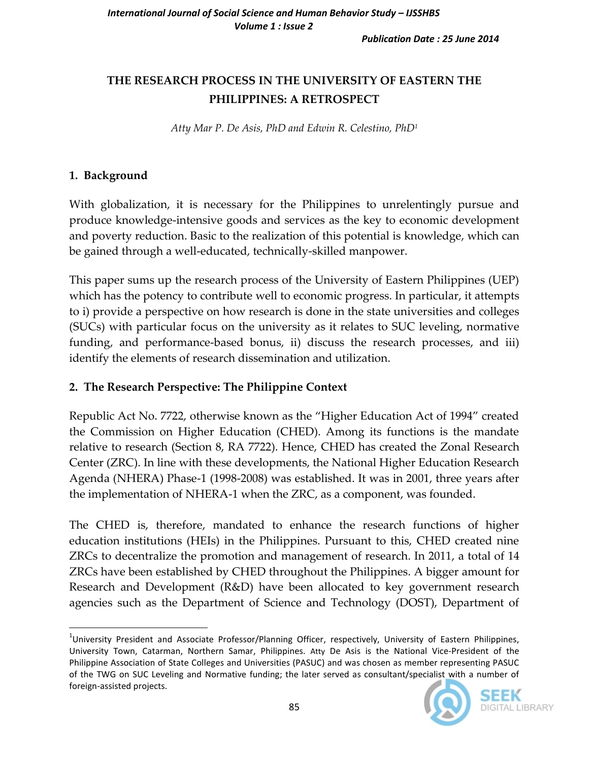# **THE RESEARCH PROCESS IN THE UNIVERSITY OF EASTERN THE PHILIPPINES: A RETROSPECT**

*Atty Mar P. De Asis, PhD and Edwin R. Celestino, PhD<sup>1</sup>*

## **1. Background**

With globalization, it is necessary for the Philippines to unrelentingly pursue and produce knowledge-intensive goods and services as the key to economic development and poverty reduction. Basic to the realization of this potential is knowledge, which can be gained through a well-educated, technically-skilled manpower.

This paper sums up the research process of the University of Eastern Philippines (UEP) which has the potency to contribute well to economic progress. In particular, it attempts to i) provide a perspective on how research is done in the state universities and colleges (SUCs) with particular focus on the university as it relates to SUC leveling, normative funding, and performance-based bonus, ii) discuss the research processes, and iii) identify the elements of research dissemination and utilization.

# **2. The Research Perspective: The Philippine Context**

Republic Act No. 7722, otherwise known as the "Higher Education Act of 1994" created the Commission on Higher Education (CHED). Among its functions is the mandate relative to research (Section 8, RA 7722). Hence, CHED has created the Zonal Research Center (ZRC). In line with these developments, the National Higher Education Research Agenda (NHERA) Phase-1 (1998-2008) was established. It was in 2001, three years after the implementation of NHERA-1 when the ZRC, as a component, was founded.

The CHED is, therefore, mandated to enhance the research functions of higher education institutions (HEIs) in the Philippines. Pursuant to this, CHED created nine ZRCs to decentralize the promotion and management of research. In 2011, a total of 14 ZRCs have been established by CHED throughout the Philippines. A bigger amount for Research and Development (R&D) have been allocated to key government research agencies such as the Department of Science and Technology (DOST), Department of

l <sup>1</sup>University President and Associate Professor/Planning Officer, respectively, University of Eastern Philippines, University Town, Catarman, Northern Samar, Philippines. Atty De Asis is the National Vice-President of the Philippine Association of State Colleges and Universities (PASUC) and was chosen as member representing PASUC of the TWG on SUC Leveling and Normative funding; the later served as consultant/specialist with a number of foreign-assisted projects.

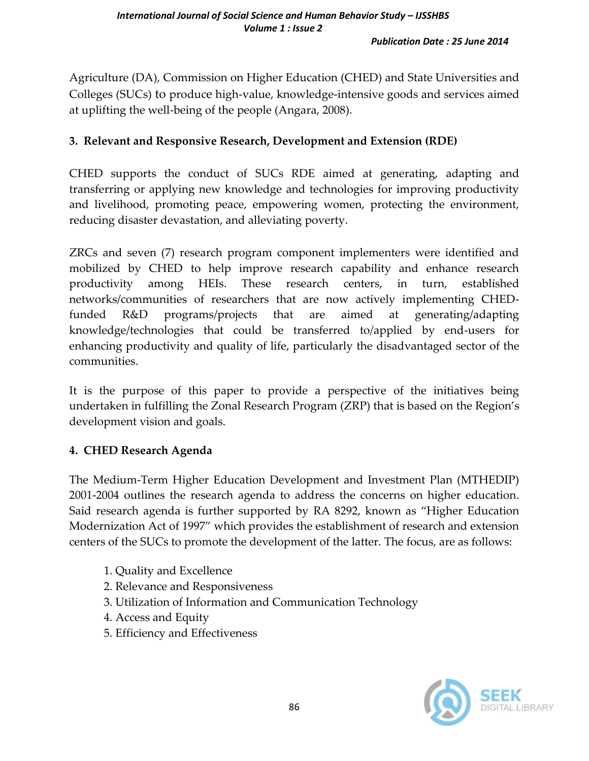Agriculture (DA), Commission on Higher Education (CHED) and State Universities and Colleges (SUCs) to produce high-value, knowledge-intensive goods and services aimed at uplifting the well-being of the people (Angara, 2008).

### **3. Relevant and Responsive Research, Development and Extension (RDE)**

CHED supports the conduct of SUCs RDE aimed at generating, adapting and transferring or applying new knowledge and technologies for improving productivity and livelihood, promoting peace, empowering women, protecting the environment, reducing disaster devastation, and alleviating poverty.

ZRCs and seven (7) research program component implementers were identified and mobilized by CHED to help improve research capability and enhance research productivity among HEIs. These research centers, in turn, established networks/communities of researchers that are now actively implementing CHEDfunded R&D programs/projects that are aimed at generating/adapting knowledge/technologies that could be transferred to/applied by end-users for enhancing productivity and quality of life, particularly the disadvantaged sector of the communities.

It is the purpose of this paper to provide a perspective of the initiatives being undertaken in fulfilling the Zonal Research Program (ZRP) that is based on the Region's development vision and goals.

### **4. CHED Research Agenda**

The Medium-Term Higher Education Development and Investment Plan (MTHEDIP) 2001-2004 outlines the research agenda to address the concerns on higher education. Said research agenda is further supported by RA 8292, known as "Higher Education Modernization Act of 1997" which provides the establishment of research and extension centers of the SUCs to promote the development of the latter. The focus, are as follows:

- 1. Quality and Excellence
- 2. Relevance and Responsiveness
- 3. Utilization of Information and Communication Technology
- 4. Access and Equity
- 5. Efficiency and Effectiveness

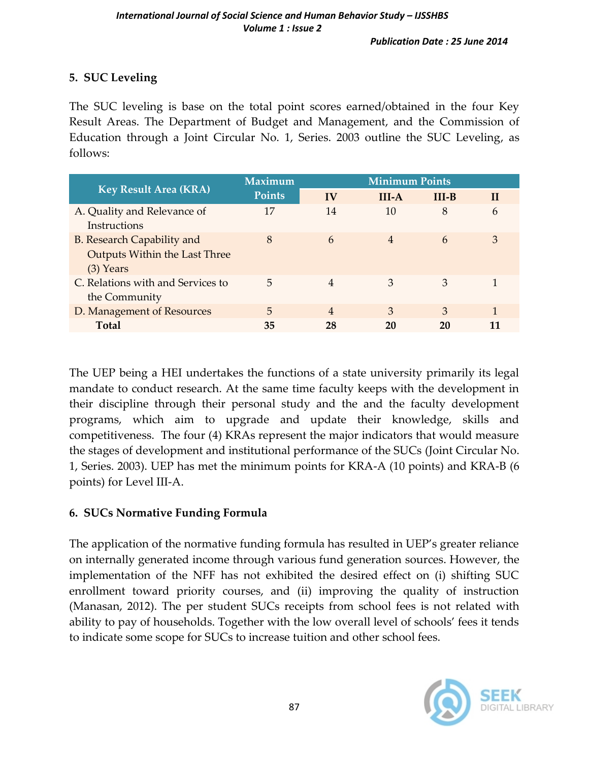# **5. SUC Leveling**

The SUC leveling is base on the total point scores earned/obtained in the four Key Result Areas. The Department of Budget and Management, and the Commission of Education through a Joint Circular No. 1, Series. 2003 outline the SUC Leveling, as follows:

| <b>Key Result Area (KRA)</b>                                                      | <b>Maximum</b><br><b>Points</b> | <b>Minimum Points</b> |         |         |              |
|-----------------------------------------------------------------------------------|---------------------------------|-----------------------|---------|---------|--------------|
|                                                                                   |                                 | IV                    | $III-A$ | $III-B$ | $\mathbf{H}$ |
| A. Quality and Relevance of<br>Instructions                                       | 17                              | 14                    | 10      | 8       | 6            |
| <b>B.</b> Research Capability and<br>Outputs Within the Last Three<br>$(3)$ Years | 8                               | 6                     | 4       | 6       | 3            |
| C. Relations with and Services to<br>the Community                                | 5                               | 4                     | 3       | 3       |              |
| D. Management of Resources                                                        | 5                               | 4                     | 3       | 3       |              |
| <b>Total</b>                                                                      | 35                              | 28                    | 20      | 20      |              |

The UEP being a HEI undertakes the functions of a state university primarily its legal mandate to conduct research. At the same time faculty keeps with the development in their discipline through their personal study and the and the faculty development programs, which aim to upgrade and update their knowledge, skills and competitiveness. The four (4) KRAs represent the major indicators that would measure the stages of development and institutional performance of the SUCs (Joint Circular No. 1, Series. 2003). UEP has met the minimum points for KRA-A (10 points) and KRA-B (6 points) for Level III-A.

### **6. SUCs Normative Funding Formula**

The application of the normative funding formula has resulted in UEP's greater reliance on internally generated income through various fund generation sources. However, the implementation of the NFF has not exhibited the desired effect on (i) shifting SUC enrollment toward priority courses, and (ii) improving the quality of instruction (Manasan, 2012). The per student SUCs receipts from school fees is not related with ability to pay of households. Together with the low overall level of schools' fees it tends to indicate some scope for SUCs to increase tuition and other school fees.

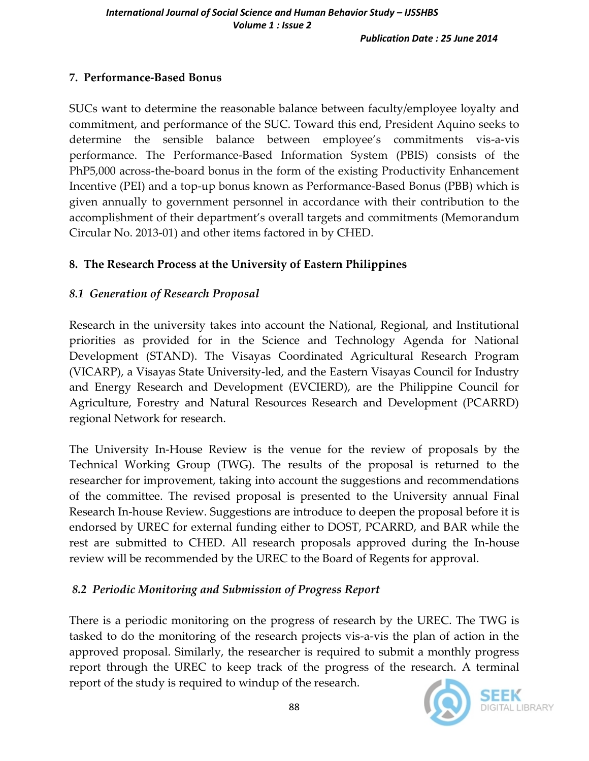## **7. Performance-Based Bonus**

SUCs want to determine the reasonable balance between faculty/employee loyalty and commitment, and performance of the SUC. Toward this end, President Aquino seeks to determine the sensible balance between employee's commitments vis-a-vis performance. The Performance-Based Information System (PBIS) consists of the PhP5,000 across-the-board bonus in the form of the existing Productivity Enhancement Incentive (PEI) and a top-up bonus known as Performance-Based Bonus (PBB) which is given annually to government personnel in accordance with their contribution to the accomplishment of their department's overall targets and commitments (Memorandum Circular No. 2013-01) and other items factored in by CHED.

## **8. The Research Process at the University of Eastern Philippines**

## *8.1 Generation of Research Proposal*

Research in the university takes into account the National, Regional, and Institutional priorities as provided for in the Science and Technology Agenda for National Development (STAND). The Visayas Coordinated Agricultural Research Program (VICARP), a Visayas State University-led, and the Eastern Visayas Council for Industry and Energy Research and Development (EVCIERD), are the Philippine Council for Agriculture, Forestry and Natural Resources Research and Development (PCARRD) regional Network for research.

The University In-House Review is the venue for the review of proposals by the Technical Working Group (TWG). The results of the proposal is returned to the researcher for improvement, taking into account the suggestions and recommendations of the committee. The revised proposal is presented to the University annual Final Research In-house Review. Suggestions are introduce to deepen the proposal before it is endorsed by UREC for external funding either to DOST, PCARRD, and BAR while the rest are submitted to CHED. All research proposals approved during the In-house review will be recommended by the UREC to the Board of Regents for approval.

# *8.2 Periodic Monitoring and Submission of Progress Report*

There is a periodic monitoring on the progress of research by the UREC. The TWG is tasked to do the monitoring of the research projects vis-a-vis the plan of action in the approved proposal. Similarly, the researcher is required to submit a monthly progress report through the UREC to keep track of the progress of the research. A terminal report of the study is required to windup of the research.

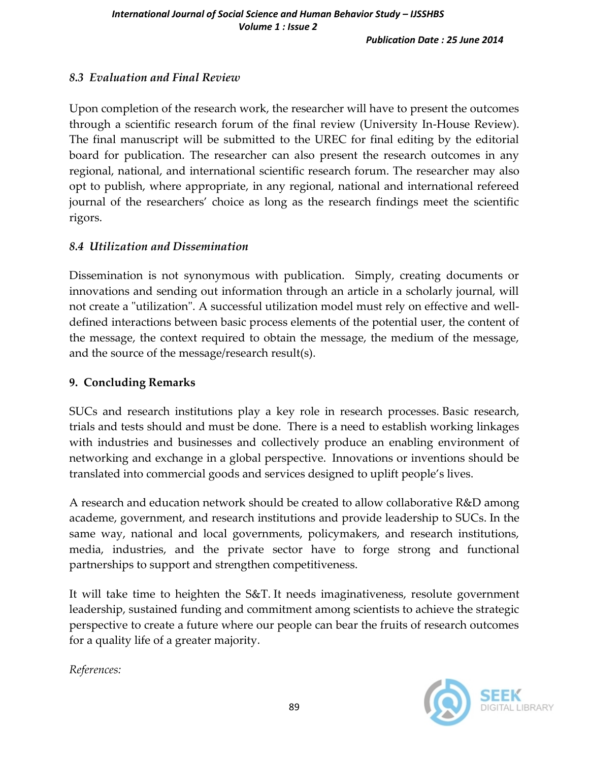# *8.3 Evaluation and Final Review*

Upon completion of the research work, the researcher will have to present the outcomes through a scientific research forum of the final review (University In-House Review). The final manuscript will be submitted to the UREC for final editing by the editorial board for publication. The researcher can also present the research outcomes in any regional, national, and international scientific research forum. The researcher may also opt to publish, where appropriate, in any regional, national and international refereed journal of the researchers' choice as long as the research findings meet the scientific rigors.

### *8.4 Utilization and Dissemination*

Dissemination is not synonymous with publication. Simply, creating documents or innovations and sending out information through an article in a scholarly journal, will not create a "utilization". A successful utilization model must rely on effective and welldefined interactions between basic process elements of the potential user, the content of the message, the context required to obtain the message, the medium of the message, and the source of the message/research result(s).

### **9. Concluding Remarks**

SUCs and research institutions play a key role in research processes. Basic research, trials and tests should and must be done. There is a need to establish working linkages with industries and businesses and collectively produce an enabling environment of networking and exchange in a global perspective. Innovations or inventions should be translated into commercial goods and services designed to uplift people's lives.

A research and education network should be created to allow collaborative R&D among academe, government, and research institutions and provide leadership to SUCs. In the same way, national and local governments, policymakers, and research institutions, media, industries, and the private sector have to forge strong and functional partnerships to support and strengthen competitiveness.

It will take time to heighten the S&T. It needs imaginativeness, resolute government leadership, sustained funding and commitment among scientists to achieve the strategic perspective to create a future where our people can bear the fruits of research outcomes for a quality life of a greater majority.

*References:*